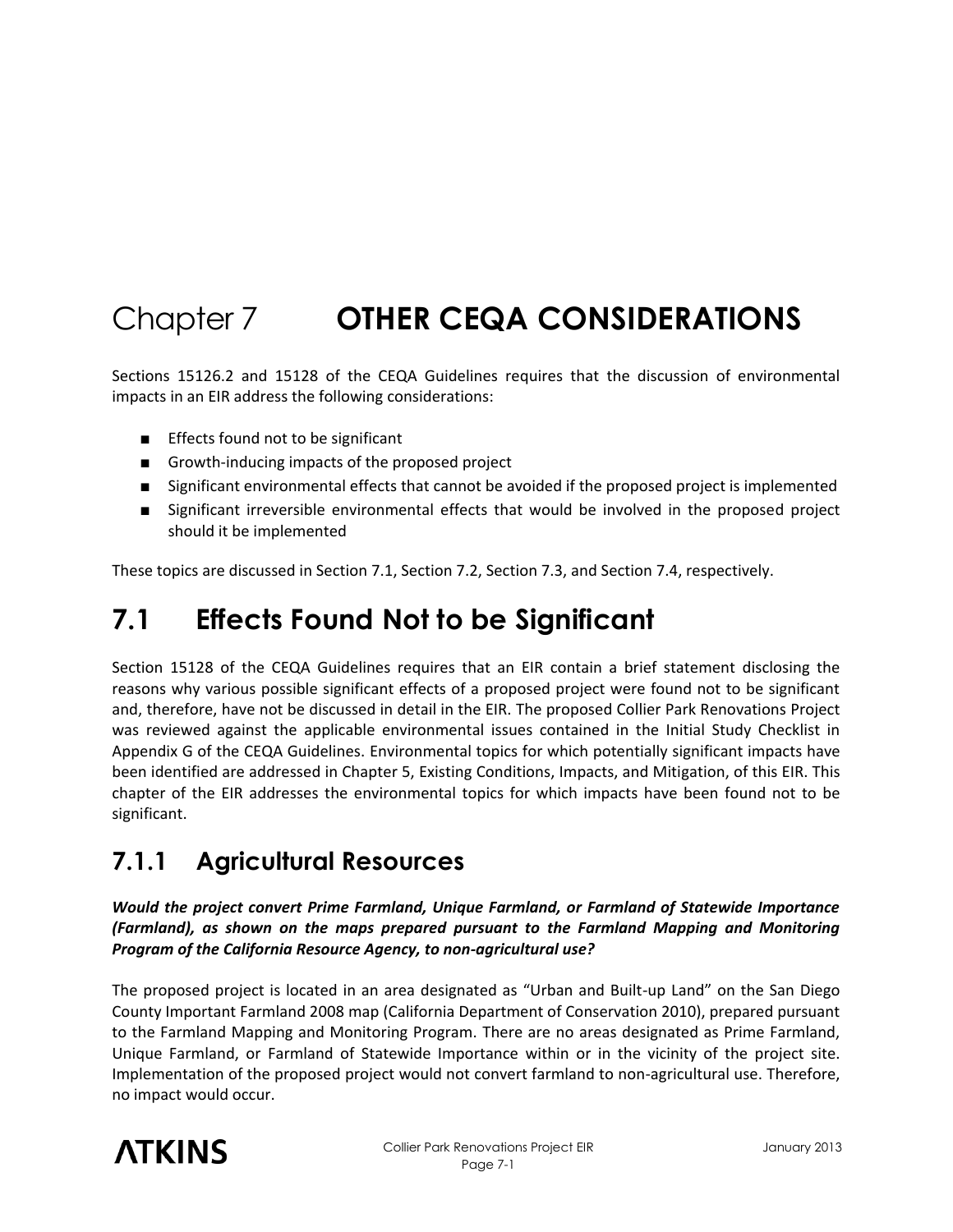# Chapter 7 **OTHER CEQA CONSIDERATIONS**

Sections 15126.2 and 15128 of the CEQA Guidelines requires that the discussion of environmental impacts in an EIR address the following considerations:

- Effects found not to be significant
- Growth-inducing impacts of the proposed project
- Significant environmental effects that cannot be avoided if the proposed project is implemented
- Significant irreversible environmental effects that would be involved in the proposed project should it be implemented

These topics are discussed in Section 7.1, Section 7.2, Section 7.3, and Section 7.4, respectively.

# **7.1 Effects Found Not to be Significant**

Section 15128 of the CEQA Guidelines requires that an EIR contain a brief statement disclosing the reasons why various possible significant effects of a proposed project were found not to be significant and, therefore, have not be discussed in detail in the EIR. The proposed Collier Park Renovations Project was reviewed against the applicable environmental issues contained in the Initial Study Checklist in Appendix G of the CEQA Guidelines. Environmental topics for which potentially significant impacts have been identified are addressed in Chapter 5, Existing Conditions, Impacts, and Mitigation, of this EIR. This chapter of the EIR addresses the environmental topics for which impacts have been found not to be significant.

### **7.1.1 Agricultural Resources**

*Would the project convert Prime Farmland, Unique Farmland, or Farmland of Statewide Importance (Farmland), as shown on the maps prepared pursuant to the Farmland Mapping and Monitoring Program of the California Resource Agency, to non-agricultural use?* 

The proposed project is located in an area designated as "Urban and Built-up Land" on the San Diego County Important Farmland 2008 map (California Department of Conservation 2010), prepared pursuant to the Farmland Mapping and Monitoring Program. There are no areas designated as Prime Farmland, Unique Farmland, or Farmland of Statewide Importance within or in the vicinity of the project site. Implementation of the proposed project would not convert farmland to non-agricultural use. Therefore, no impact would occur.

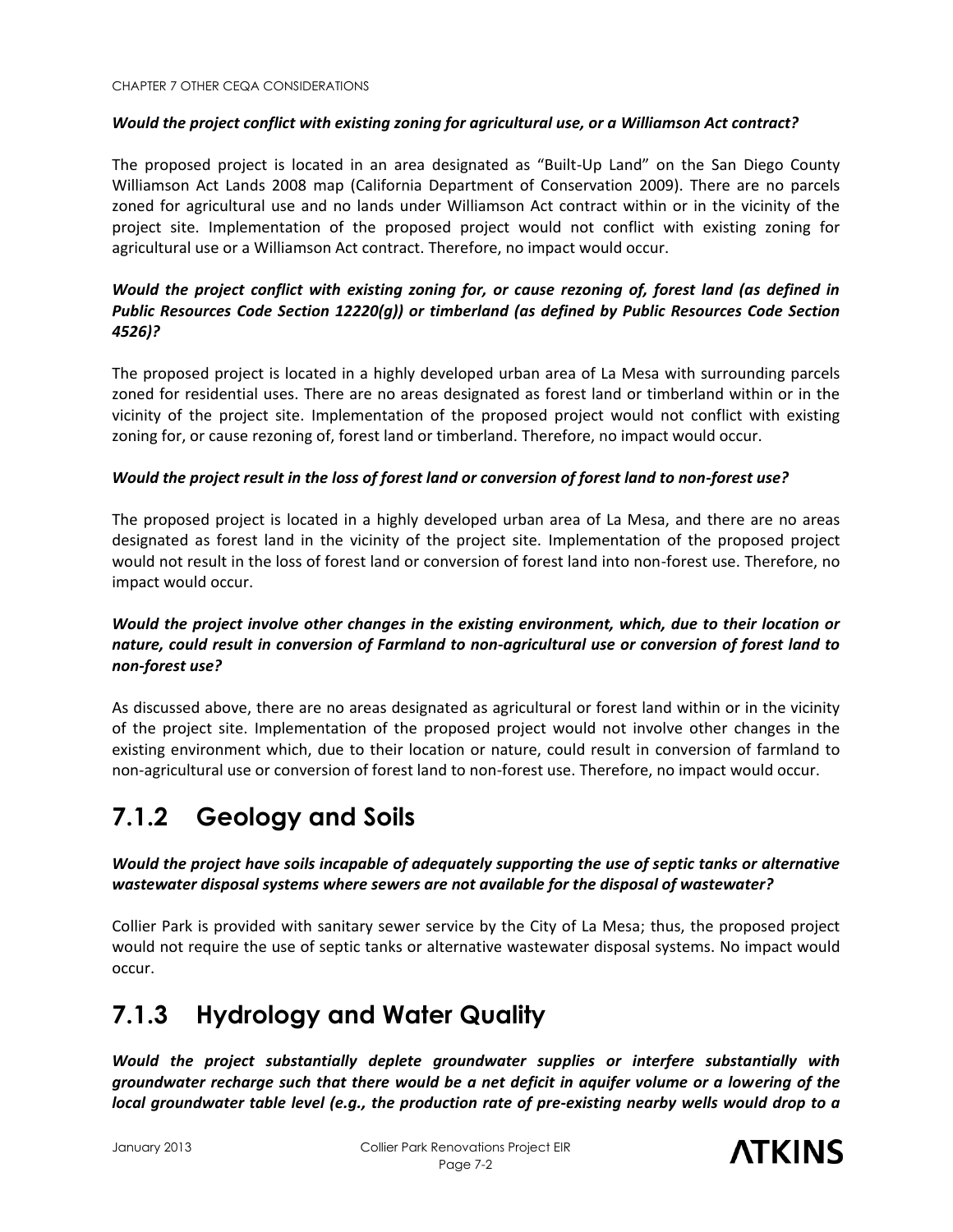#### *Would the project conflict with existing zoning for agricultural use, or a Williamson Act contract?*

The proposed project is located in an area designated as "Built-Up Land" on the San Diego County Williamson Act Lands 2008 map (California Department of Conservation 2009). There are no parcels zoned for agricultural use and no lands under Williamson Act contract within or in the vicinity of the project site. Implementation of the proposed project would not conflict with existing zoning for agricultural use or a Williamson Act contract. Therefore, no impact would occur.

#### *Would the project conflict with existing zoning for, or cause rezoning of, forest land (as defined in Public Resources Code Section 12220(g)) or timberland (as defined by Public Resources Code Section 4526)?*

The proposed project is located in a highly developed urban area of La Mesa with surrounding parcels zoned for residential uses. There are no areas designated as forest land or timberland within or in the vicinity of the project site. Implementation of the proposed project would not conflict with existing zoning for, or cause rezoning of, forest land or timberland. Therefore, no impact would occur.

#### *Would the project result in the loss of forest land or conversion of forest land to non-forest use?*

The proposed project is located in a highly developed urban area of La Mesa, and there are no areas designated as forest land in the vicinity of the project site. Implementation of the proposed project would not result in the loss of forest land or conversion of forest land into non-forest use. Therefore, no impact would occur.

#### *Would the project involve other changes in the existing environment, which, due to their location or nature, could result in conversion of Farmland to non-agricultural use or conversion of forest land to non-forest use?*

As discussed above, there are no areas designated as agricultural or forest land within or in the vicinity of the project site. Implementation of the proposed project would not involve other changes in the existing environment which, due to their location or nature, could result in conversion of farmland to non-agricultural use or conversion of forest land to non-forest use. Therefore, no impact would occur.

### **7.1.2 Geology and Soils**

*Would the project have soils incapable of adequately supporting the use of septic tanks or alternative wastewater disposal systems where sewers are not available for the disposal of wastewater?* 

Collier Park is provided with sanitary sewer service by the City of La Mesa; thus, the proposed project would not require the use of septic tanks or alternative wastewater disposal systems. No impact would occur.

### **7.1.3 Hydrology and Water Quality**

*Would the project substantially deplete groundwater supplies or interfere substantially with groundwater recharge such that there would be a net deficit in aquifer volume or a lowering of the local groundwater table level (e.g., the production rate of pre-existing nearby wells would drop to a* 

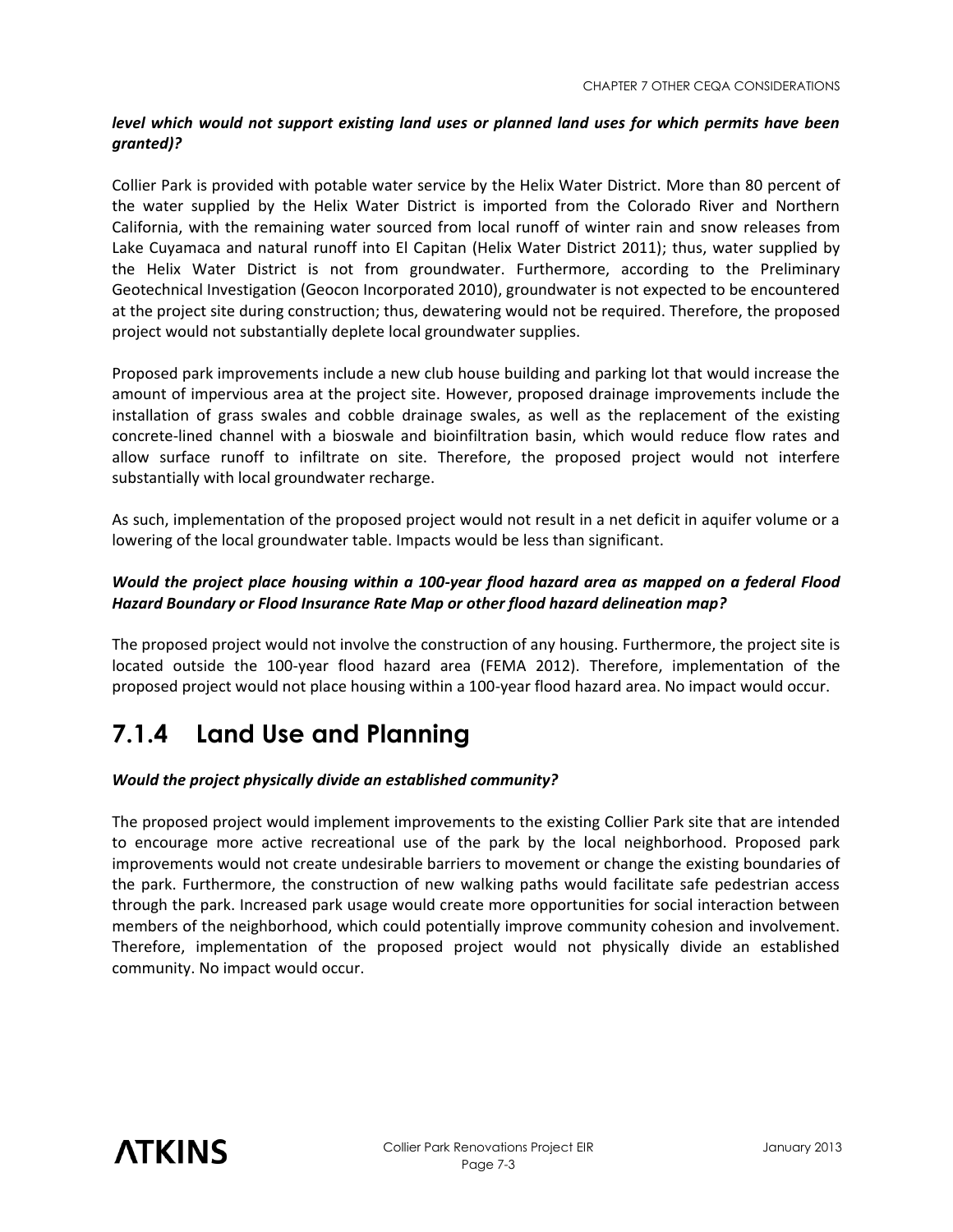#### *level which would not support existing land uses or planned land uses for which permits have been granted)?*

Collier Park is provided with potable water service by the Helix Water District. More than 80 percent of the water supplied by the Helix Water District is imported from the Colorado River and Northern California, with the remaining water sourced from local runoff of winter rain and snow releases from Lake Cuyamaca and natural runoff into El Capitan (Helix Water District 2011); thus, water supplied by the Helix Water District is not from groundwater. Furthermore, according to the Preliminary Geotechnical Investigation (Geocon Incorporated 2010), groundwater is not expected to be encountered at the project site during construction; thus, dewatering would not be required. Therefore, the proposed project would not substantially deplete local groundwater supplies.

Proposed park improvements include a new club house building and parking lot that would increase the amount of impervious area at the project site. However, proposed drainage improvements include the installation of grass swales and cobble drainage swales, as well as the replacement of the existing concrete-lined channel with a bioswale and bioinfiltration basin, which would reduce flow rates and allow surface runoff to infiltrate on site. Therefore, the proposed project would not interfere substantially with local groundwater recharge.

As such, implementation of the proposed project would not result in a net deficit in aquifer volume or a lowering of the local groundwater table. Impacts would be less than significant.

#### *Would the project place housing within a 100-year flood hazard area as mapped on a federal Flood Hazard Boundary or Flood Insurance Rate Map or other flood hazard delineation map?*

The proposed project would not involve the construction of any housing. Furthermore, the project site is located outside the 100-year flood hazard area (FEMA 2012). Therefore, implementation of the proposed project would not place housing within a 100-year flood hazard area. No impact would occur.

### **7.1.4 Land Use and Planning**

#### *Would the project physically divide an established community?*

The proposed project would implement improvements to the existing Collier Park site that are intended to encourage more active recreational use of the park by the local neighborhood. Proposed park improvements would not create undesirable barriers to movement or change the existing boundaries of the park. Furthermore, the construction of new walking paths would facilitate safe pedestrian access through the park. Increased park usage would create more opportunities for social interaction between members of the neighborhood, which could potentially improve community cohesion and involvement. Therefore, implementation of the proposed project would not physically divide an established community. No impact would occur.

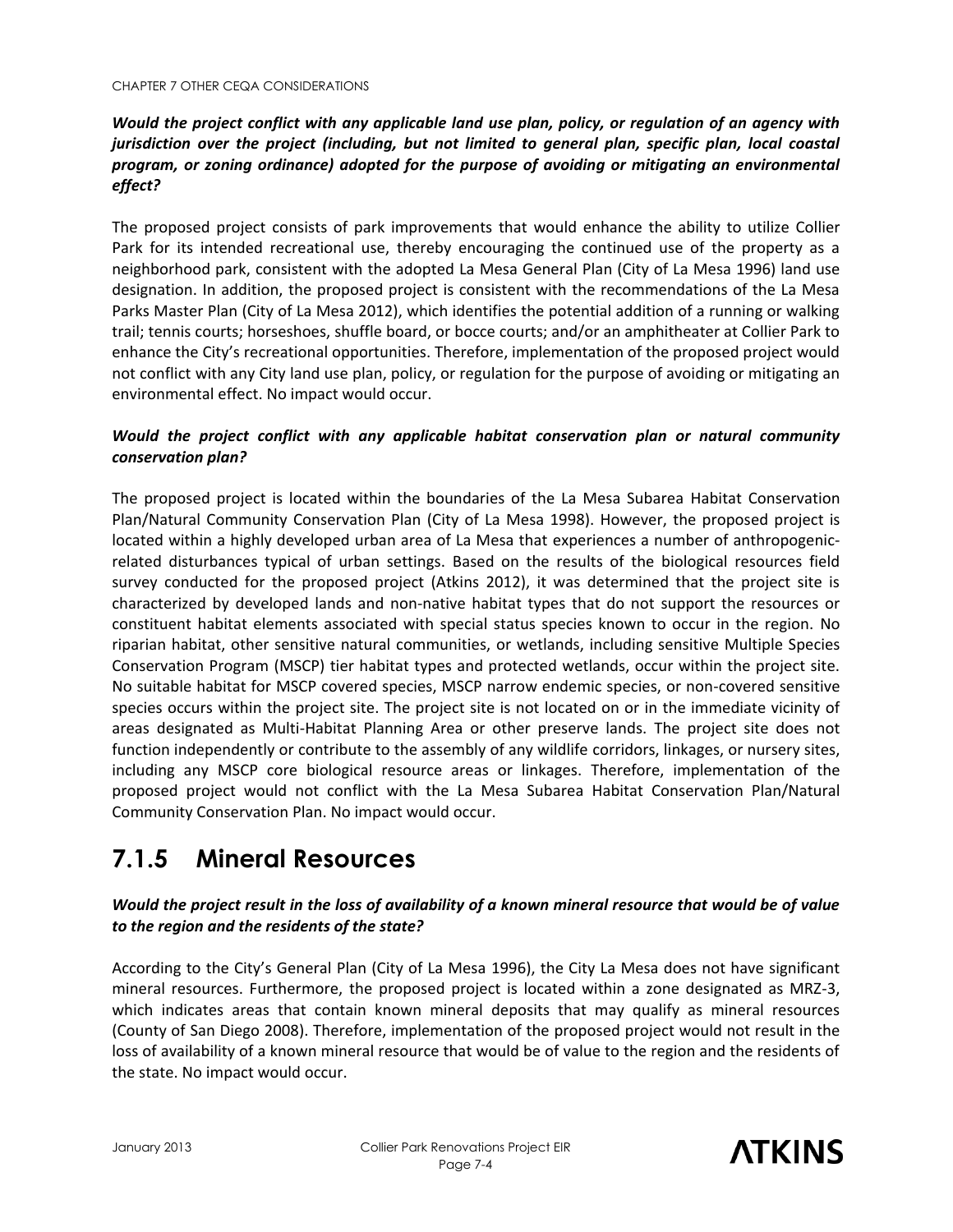#### *Would the project conflict with any applicable land use plan, policy, or regulation of an agency with jurisdiction over the project (including, but not limited to general plan, specific plan, local coastal program, or zoning ordinance) adopted for the purpose of avoiding or mitigating an environmental effect?*

The proposed project consists of park improvements that would enhance the ability to utilize Collier Park for its intended recreational use, thereby encouraging the continued use of the property as a neighborhood park, consistent with the adopted La Mesa General Plan (City of La Mesa 1996) land use designation. In addition, the proposed project is consistent with the recommendations of the La Mesa Parks Master Plan (City of La Mesa 2012), which identifies the potential addition of a running or walking trail; tennis courts; horseshoes, shuffle board, or bocce courts; and/or an amphitheater at Collier Park to enhance the City's recreational opportunities. Therefore, implementation of the proposed project would not conflict with any City land use plan, policy, or regulation for the purpose of avoiding or mitigating an environmental effect. No impact would occur.

#### *Would the project conflict with any applicable habitat conservation plan or natural community conservation plan?*

The proposed project is located within the boundaries of the La Mesa Subarea Habitat Conservation Plan/Natural Community Conservation Plan (City of La Mesa 1998). However, the proposed project is located within a highly developed urban area of La Mesa that experiences a number of anthropogenicrelated disturbances typical of urban settings. Based on the results of the biological resources field survey conducted for the proposed project (Atkins 2012), it was determined that the project site is characterized by developed lands and non-native habitat types that do not support the resources or constituent habitat elements associated with special status species known to occur in the region. No riparian habitat, other sensitive natural communities, or wetlands, including sensitive Multiple Species Conservation Program (MSCP) tier habitat types and protected wetlands, occur within the project site. No suitable habitat for MSCP covered species, MSCP narrow endemic species, or non-covered sensitive species occurs within the project site. The project site is not located on or in the immediate vicinity of areas designated as Multi-Habitat Planning Area or other preserve lands. The project site does not function independently or contribute to the assembly of any wildlife corridors, linkages, or nursery sites, including any MSCP core biological resource areas or linkages. Therefore, implementation of the proposed project would not conflict with the La Mesa Subarea Habitat Conservation Plan/Natural Community Conservation Plan. No impact would occur.

### **7.1.5 Mineral Resources**

#### *Would the project result in the loss of availability of a known mineral resource that would be of value to the region and the residents of the state?*

According to the City's General Plan (City of La Mesa 1996), the City La Mesa does not have significant mineral resources. Furthermore, the proposed project is located within a zone designated as MRZ-3, which indicates areas that contain known mineral deposits that may qualify as mineral resources (County of San Diego 2008). Therefore, implementation of the proposed project would not result in the loss of availability of a known mineral resource that would be of value to the region and the residents of the state. No impact would occur.

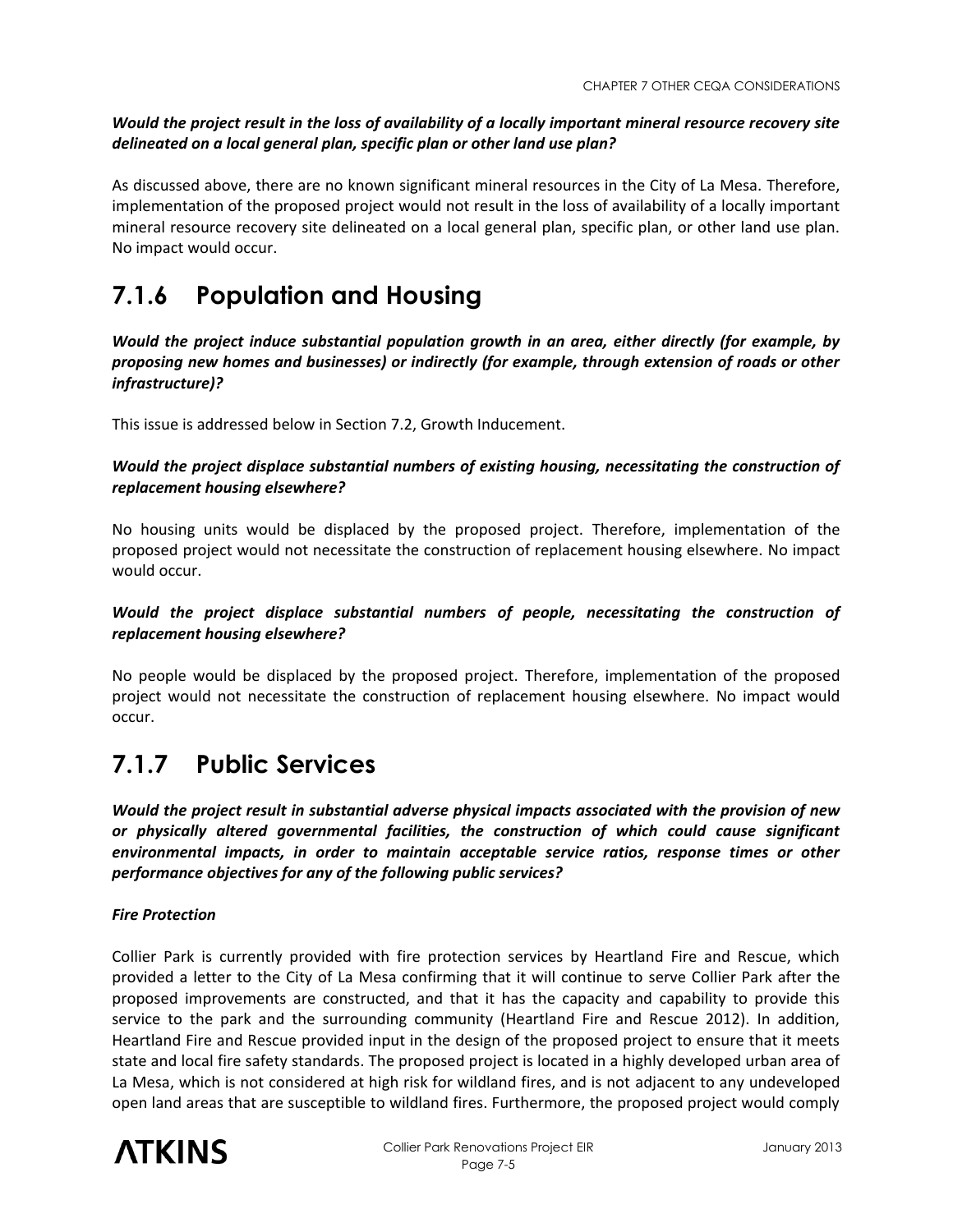*Would the project result in the loss of availability of a locally important mineral resource recovery site delineated on a local general plan, specific plan or other land use plan?* 

As discussed above, there are no known significant mineral resources in the City of La Mesa. Therefore, implementation of the proposed project would not result in the loss of availability of a locally important mineral resource recovery site delineated on a local general plan, specific plan, or other land use plan. No impact would occur.

### **7.1.6 Population and Housing**

*Would the project induce substantial population growth in an area, either directly (for example, by proposing new homes and businesses) or indirectly (for example, through extension of roads or other infrastructure)?* 

This issue is addressed below in Section 7.2, Growth Inducement.

#### *Would the project displace substantial numbers of existing housing, necessitating the construction of replacement housing elsewhere?*

No housing units would be displaced by the proposed project. Therefore, implementation of the proposed project would not necessitate the construction of replacement housing elsewhere. No impact would occur.

#### *Would the project displace substantial numbers of people, necessitating the construction of replacement housing elsewhere?*

No people would be displaced by the proposed project. Therefore, implementation of the proposed project would not necessitate the construction of replacement housing elsewhere. No impact would occur.

### **7.1.7 Public Services**

*Would the project result in substantial adverse physical impacts associated with the provision of new or physically altered governmental facilities, the construction of which could cause significant environmental impacts, in order to maintain acceptable service ratios, response times or other performance objectives for any of the following public services?* 

#### *Fire Protection*

Collier Park is currently provided with fire protection services by Heartland Fire and Rescue, which provided a letter to the City of La Mesa confirming that it will continue to serve Collier Park after the proposed improvements are constructed, and that it has the capacity and capability to provide this service to the park and the surrounding community (Heartland Fire and Rescue 2012). In addition, Heartland Fire and Rescue provided input in the design of the proposed project to ensure that it meets state and local fire safety standards. The proposed project is located in a highly developed urban area of La Mesa, which is not considered at high risk for wildland fires, and is not adjacent to any undeveloped open land areas that are susceptible to wildland fires. Furthermore, the proposed project would comply

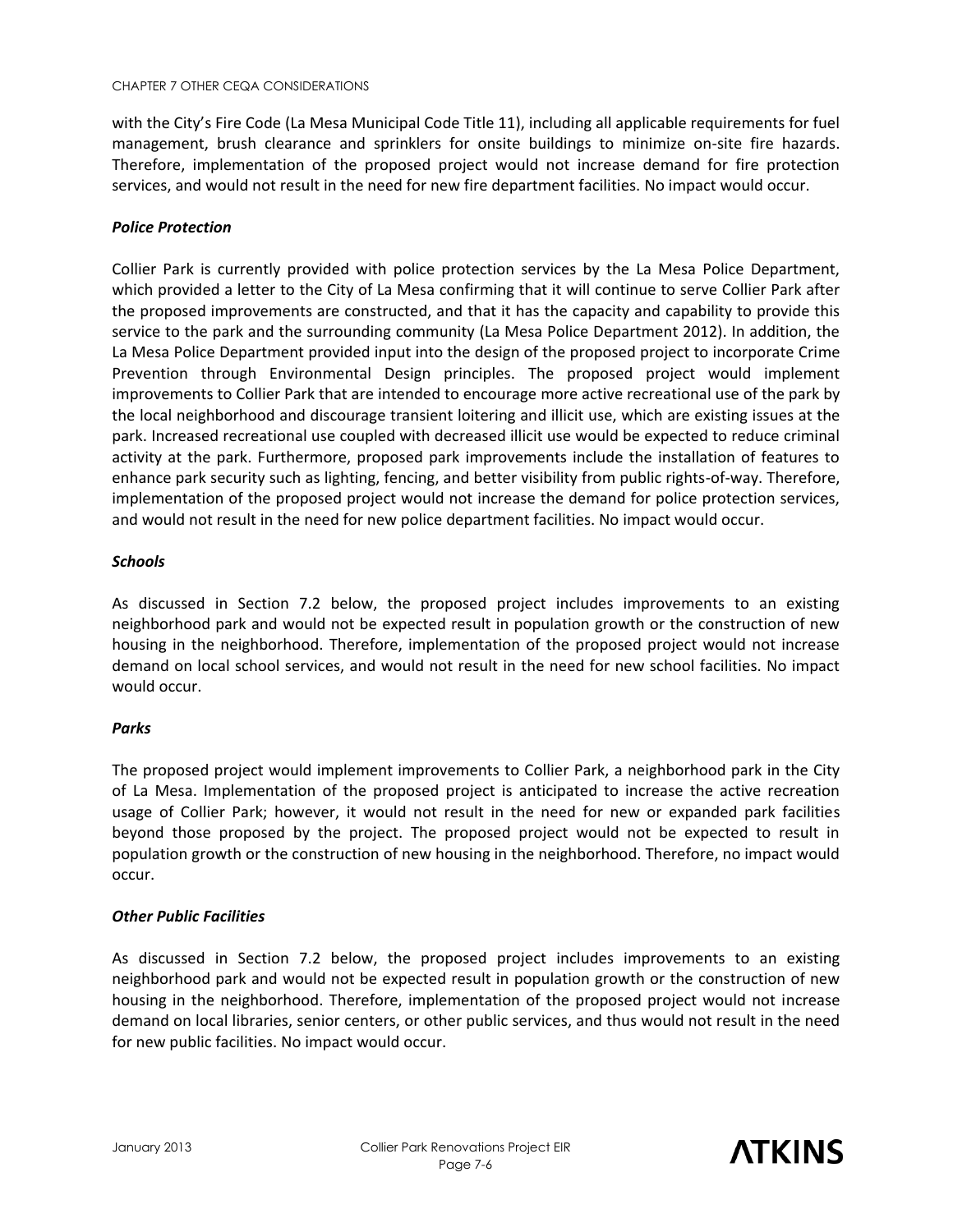with the City's Fire Code (La Mesa Municipal Code Title 11), including all applicable requirements for fuel management, brush clearance and sprinklers for onsite buildings to minimize on-site fire hazards. Therefore, implementation of the proposed project would not increase demand for fire protection services, and would not result in the need for new fire department facilities. No impact would occur.

#### *Police Protection*

Collier Park is currently provided with police protection services by the La Mesa Police Department, which provided a letter to the City of La Mesa confirming that it will continue to serve Collier Park after the proposed improvements are constructed, and that it has the capacity and capability to provide this service to the park and the surrounding community (La Mesa Police Department 2012). In addition, the La Mesa Police Department provided input into the design of the proposed project to incorporate Crime Prevention through Environmental Design principles. The proposed project would implement improvements to Collier Park that are intended to encourage more active recreational use of the park by the local neighborhood and discourage transient loitering and illicit use, which are existing issues at the park. Increased recreational use coupled with decreased illicit use would be expected to reduce criminal activity at the park. Furthermore, proposed park improvements include the installation of features to enhance park security such as lighting, fencing, and better visibility from public rights-of-way. Therefore, implementation of the proposed project would not increase the demand for police protection services, and would not result in the need for new police department facilities. No impact would occur.

#### *Schools*

As discussed in Section 7.2 below, the proposed project includes improvements to an existing neighborhood park and would not be expected result in population growth or the construction of new housing in the neighborhood. Therefore, implementation of the proposed project would not increase demand on local school services, and would not result in the need for new school facilities. No impact would occur.

#### *Parks*

The proposed project would implement improvements to Collier Park, a neighborhood park in the City of La Mesa. Implementation of the proposed project is anticipated to increase the active recreation usage of Collier Park; however, it would not result in the need for new or expanded park facilities beyond those proposed by the project. The proposed project would not be expected to result in population growth or the construction of new housing in the neighborhood. Therefore, no impact would occur.

#### *Other Public Facilities*

As discussed in Section 7.2 below, the proposed project includes improvements to an existing neighborhood park and would not be expected result in population growth or the construction of new housing in the neighborhood. Therefore, implementation of the proposed project would not increase demand on local libraries, senior centers, or other public services, and thus would not result in the need for new public facilities. No impact would occur.

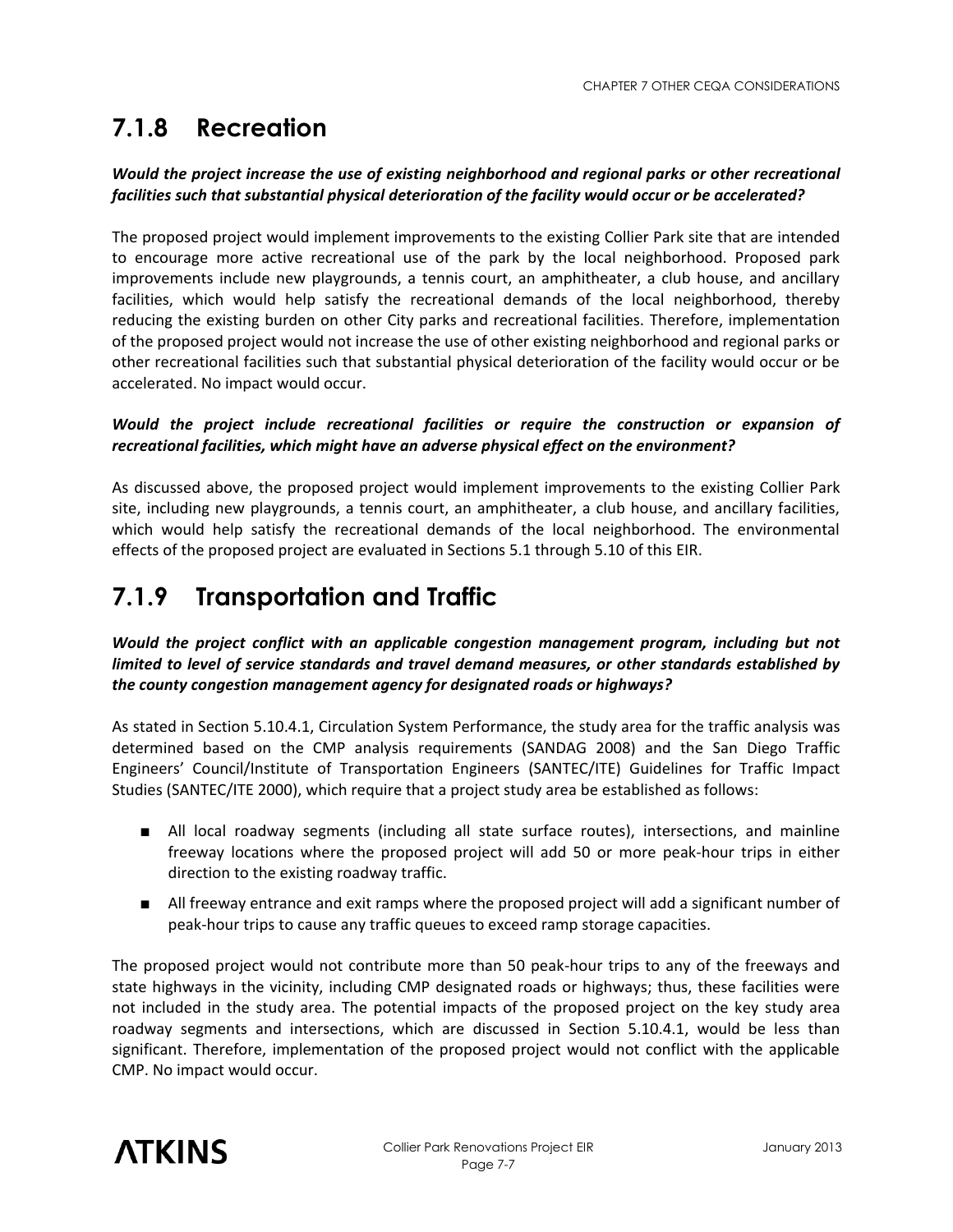### **7.1.8 Recreation**

#### *Would the project increase the use of existing neighborhood and regional parks or other recreational facilities such that substantial physical deterioration of the facility would occur or be accelerated?*

The proposed project would implement improvements to the existing Collier Park site that are intended to encourage more active recreational use of the park by the local neighborhood. Proposed park improvements include new playgrounds, a tennis court, an amphitheater, a club house, and ancillary facilities, which would help satisfy the recreational demands of the local neighborhood, thereby reducing the existing burden on other City parks and recreational facilities. Therefore, implementation of the proposed project would not increase the use of other existing neighborhood and regional parks or other recreational facilities such that substantial physical deterioration of the facility would occur or be accelerated. No impact would occur.

#### *Would the project include recreational facilities or require the construction or expansion of recreational facilities, which might have an adverse physical effect on the environment?*

As discussed above, the proposed project would implement improvements to the existing Collier Park site, including new playgrounds, a tennis court, an amphitheater, a club house, and ancillary facilities, which would help satisfy the recreational demands of the local neighborhood. The environmental effects of the proposed project are evaluated in Sections 5.1 through 5.10 of this EIR.

### **7.1.9 Transportation and Traffic**

#### *Would the project conflict with an applicable congestion management program, including but not limited to level of service standards and travel demand measures, or other standards established by the county congestion management agency for designated roads or highways?*

As stated in Section 5.10.4.1, Circulation System Performance, the study area for the traffic analysis was determined based on the CMP analysis requirements (SANDAG 2008) and the San Diego Traffic Engineers' Council/Institute of Transportation Engineers (SANTEC/ITE) Guidelines for Traffic Impact Studies (SANTEC/ITE 2000), which require that a project study area be established as follows:

- All local roadway segments (including all state surface routes), intersections, and mainline freeway locations where the proposed project will add 50 or more peak-hour trips in either direction to the existing roadway traffic.
- All freeway entrance and exit ramps where the proposed project will add a significant number of peak-hour trips to cause any traffic queues to exceed ramp storage capacities.

The proposed project would not contribute more than 50 peak-hour trips to any of the freeways and state highways in the vicinity, including CMP designated roads or highways; thus, these facilities were not included in the study area. The potential impacts of the proposed project on the key study area roadway segments and intersections, which are discussed in Section 5.10.4.1, would be less than significant. Therefore, implementation of the proposed project would not conflict with the applicable CMP. No impact would occur.

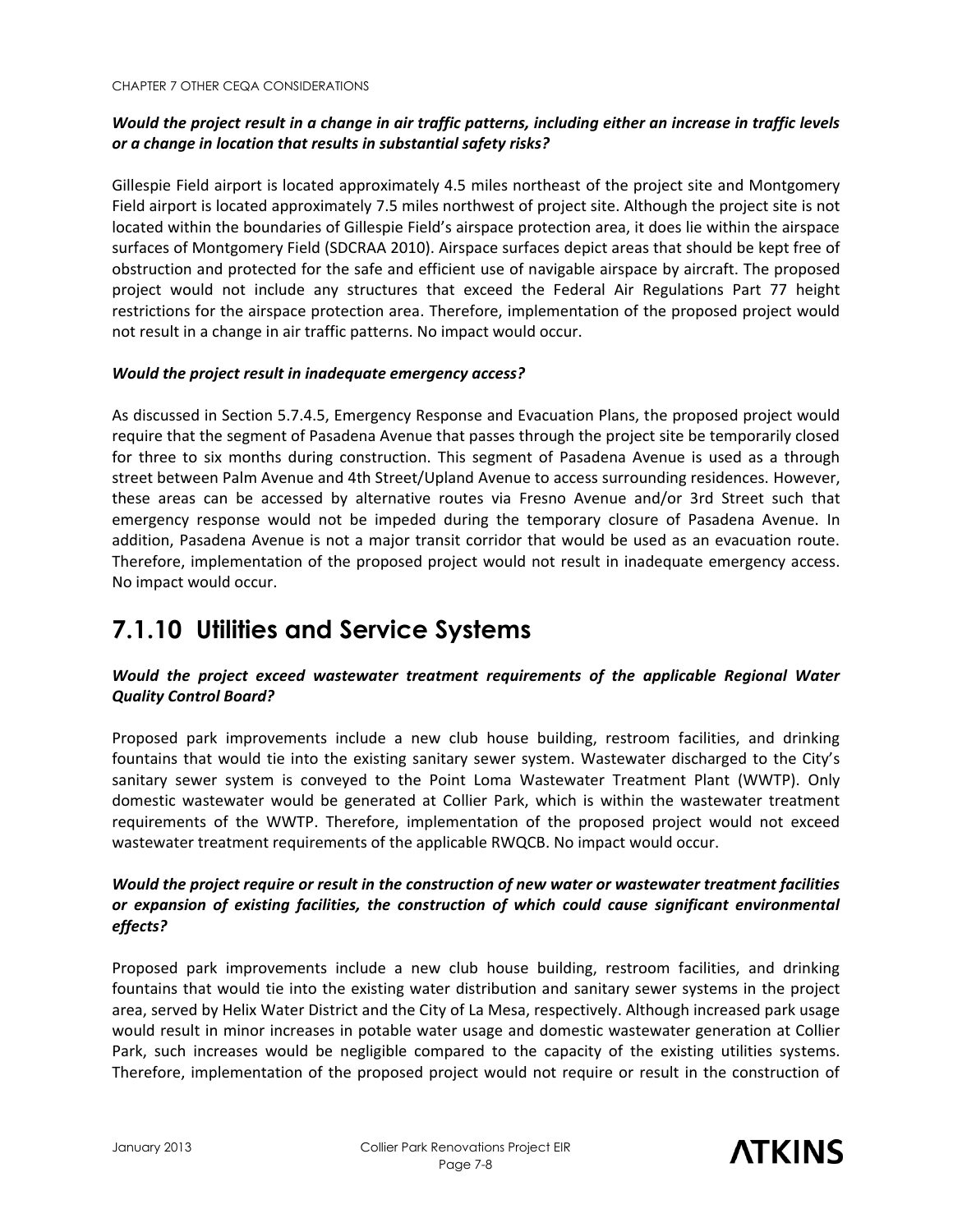#### *Would the project result in a change in air traffic patterns, including either an increase in traffic levels or a change in location that results in substantial safety risks?*

Gillespie Field airport is located approximately 4.5 miles northeast of the project site and Montgomery Field airport is located approximately 7.5 miles northwest of project site. Although the project site is not located within the boundaries of Gillespie Field's airspace protection area, it does lie within the airspace surfaces of Montgomery Field (SDCRAA 2010). Airspace surfaces depict areas that should be kept free of obstruction and protected for the safe and efficient use of navigable airspace by aircraft. The proposed project would not include any structures that exceed the Federal Air Regulations Part 77 height restrictions for the airspace protection area. Therefore, implementation of the proposed project would not result in a change in air traffic patterns. No impact would occur.

#### *Would the project result in inadequate emergency access?*

As discussed in Section 5.7.4.5, Emergency Response and Evacuation Plans, the proposed project would require that the segment of Pasadena Avenue that passes through the project site be temporarily closed for three to six months during construction. This segment of Pasadena Avenue is used as a through street between Palm Avenue and 4th Street/Upland Avenue to access surrounding residences. However, these areas can be accessed by alternative routes via Fresno Avenue and/or 3rd Street such that emergency response would not be impeded during the temporary closure of Pasadena Avenue. In addition, Pasadena Avenue is not a major transit corridor that would be used as an evacuation route. Therefore, implementation of the proposed project would not result in inadequate emergency access. No impact would occur.

### **7.1.10 Utilities and Service Systems**

#### *Would the project exceed wastewater treatment requirements of the applicable Regional Water Quality Control Board?*

Proposed park improvements include a new club house building, restroom facilities, and drinking fountains that would tie into the existing sanitary sewer system. Wastewater discharged to the City's sanitary sewer system is conveyed to the Point Loma Wastewater Treatment Plant (WWTP). Only domestic wastewater would be generated at Collier Park, which is within the wastewater treatment requirements of the WWTP. Therefore, implementation of the proposed project would not exceed wastewater treatment requirements of the applicable RWQCB. No impact would occur.

#### *Would the project require or result in the construction of new water or wastewater treatment facilities or expansion of existing facilities, the construction of which could cause significant environmental effects?*

Proposed park improvements include a new club house building, restroom facilities, and drinking fountains that would tie into the existing water distribution and sanitary sewer systems in the project area, served by Helix Water District and the City of La Mesa, respectively. Although increased park usage would result in minor increases in potable water usage and domestic wastewater generation at Collier Park, such increases would be negligible compared to the capacity of the existing utilities systems. Therefore, implementation of the proposed project would not require or result in the construction of

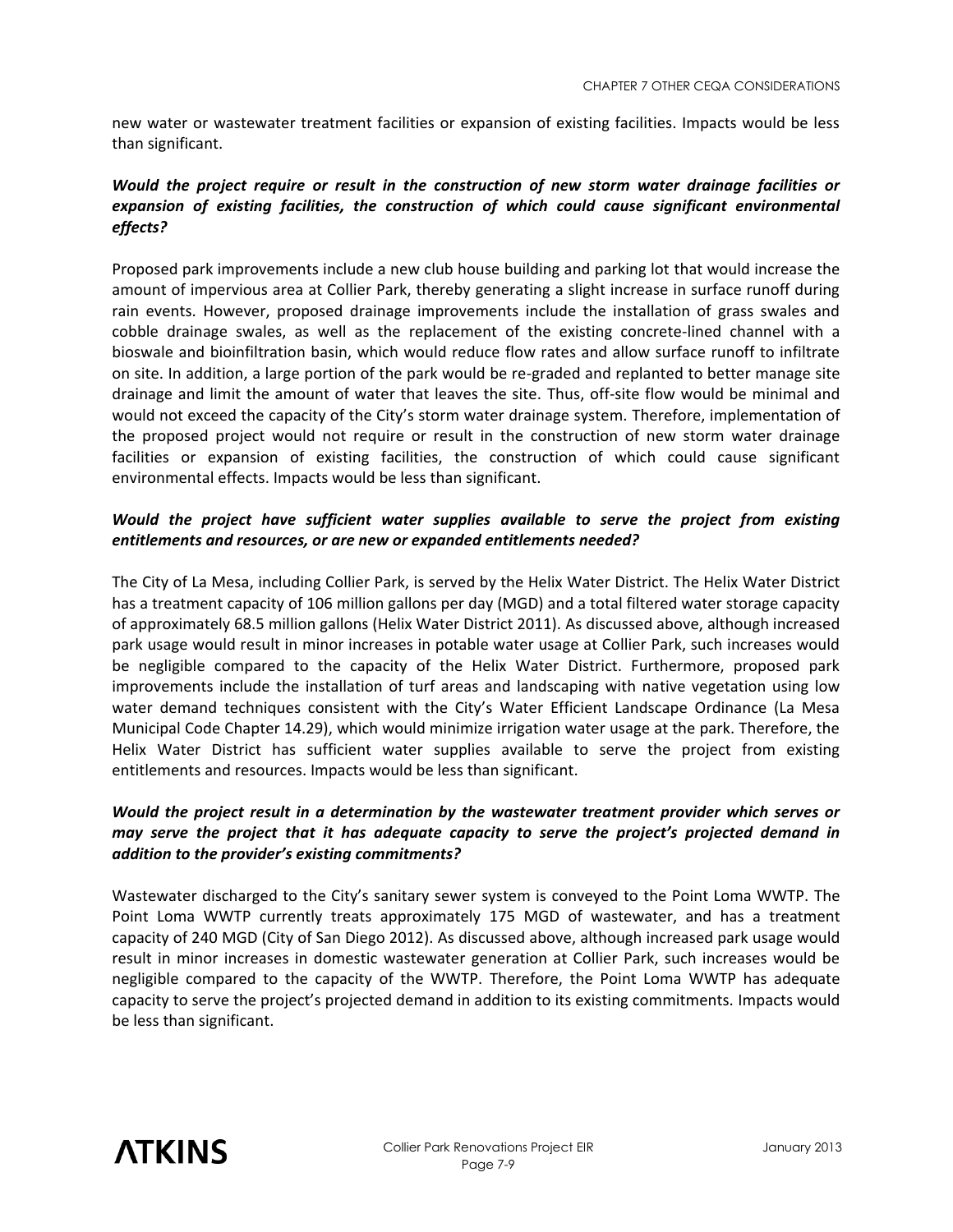new water or wastewater treatment facilities or expansion of existing facilities. Impacts would be less than significant.

#### *Would the project require or result in the construction of new storm water drainage facilities or expansion of existing facilities, the construction of which could cause significant environmental effects?*

Proposed park improvements include a new club house building and parking lot that would increase the amount of impervious area at Collier Park, thereby generating a slight increase in surface runoff during rain events. However, proposed drainage improvements include the installation of grass swales and cobble drainage swales, as well as the replacement of the existing concrete-lined channel with a bioswale and bioinfiltration basin, which would reduce flow rates and allow surface runoff to infiltrate on site. In addition, a large portion of the park would be re-graded and replanted to better manage site drainage and limit the amount of water that leaves the site. Thus, off-site flow would be minimal and would not exceed the capacity of the City's storm water drainage system. Therefore, implementation of the proposed project would not require or result in the construction of new storm water drainage facilities or expansion of existing facilities, the construction of which could cause significant environmental effects. Impacts would be less than significant.

#### *Would the project have sufficient water supplies available to serve the project from existing entitlements and resources, or are new or expanded entitlements needed?*

The City of La Mesa, including Collier Park, is served by the Helix Water District. The Helix Water District has a treatment capacity of 106 million gallons per day (MGD) and a total filtered water storage capacity of approximately 68.5 million gallons (Helix Water District 2011). As discussed above, although increased park usage would result in minor increases in potable water usage at Collier Park, such increases would be negligible compared to the capacity of the Helix Water District. Furthermore, proposed park improvements include the installation of turf areas and landscaping with native vegetation using low water demand techniques consistent with the City's Water Efficient Landscape Ordinance (La Mesa Municipal Code Chapter 14.29), which would minimize irrigation water usage at the park. Therefore, the Helix Water District has sufficient water supplies available to serve the project from existing entitlements and resources. Impacts would be less than significant.

#### *Would the project result in a determination by the wastewater treatment provider which serves or may serve the project that it has adequate capacity to serve the project's projected demand in addition to the provider's existing commitments?*

Wastewater discharged to the City's sanitary sewer system is conveyed to the Point Loma WWTP. The Point Loma WWTP currently treats approximately 175 MGD of wastewater, and has a treatment capacity of 240 MGD (City of San Diego 2012). As discussed above, although increased park usage would result in minor increases in domestic wastewater generation at Collier Park, such increases would be negligible compared to the capacity of the WWTP. Therefore, the Point Loma WWTP has adequate capacity to serve the project's projected demand in addition to its existing commitments. Impacts would be less than significant.

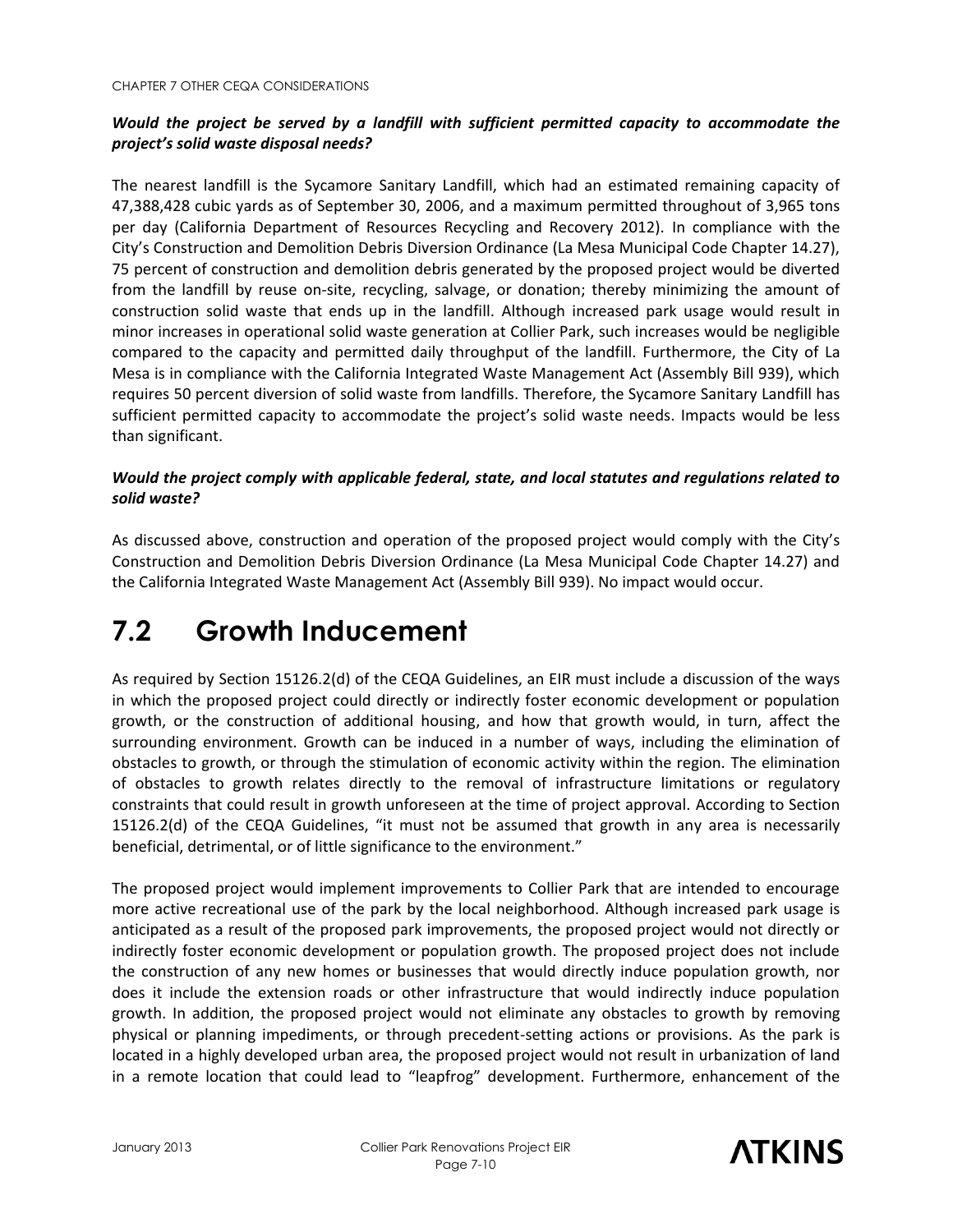#### *Would the project be served by a landfill with sufficient permitted capacity to accommodate the project's solid waste disposal needs?*

The nearest landfill is the Sycamore Sanitary Landfill, which had an estimated remaining capacity of 47,388,428 cubic yards as of September 30, 2006, and a maximum permitted throughout of 3,965 tons per day (California Department of Resources Recycling and Recovery 2012). In compliance with the City's Construction and Demolition Debris Diversion Ordinance (La Mesa Municipal Code Chapter 14.27), 75 percent of construction and demolition debris generated by the proposed project would be diverted from the landfill by reuse on-site, recycling, salvage, or donation; thereby minimizing the amount of construction solid waste that ends up in the landfill. Although increased park usage would result in minor increases in operational solid waste generation at Collier Park, such increases would be negligible compared to the capacity and permitted daily throughput of the landfill. Furthermore, the City of La Mesa is in compliance with the California Integrated Waste Management Act (Assembly Bill 939), which requires 50 percent diversion of solid waste from landfills. Therefore, the Sycamore Sanitary Landfill has sufficient permitted capacity to accommodate the project's solid waste needs. Impacts would be less than significant.

#### *Would the project comply with applicable federal, state, and local statutes and regulations related to solid waste?*

As discussed above, construction and operation of the proposed project would comply with the City's Construction and Demolition Debris Diversion Ordinance (La Mesa Municipal Code Chapter 14.27) and the California Integrated Waste Management Act (Assembly Bill 939). No impact would occur.

# **7.2 Growth Inducement**

As required by Section 15126.2(d) of the CEQA Guidelines, an EIR must include a discussion of the ways in which the proposed project could directly or indirectly foster economic development or population growth, or the construction of additional housing, and how that growth would, in turn, affect the surrounding environment. Growth can be induced in a number of ways, including the elimination of obstacles to growth, or through the stimulation of economic activity within the region. The elimination of obstacles to growth relates directly to the removal of infrastructure limitations or regulatory constraints that could result in growth unforeseen at the time of project approval. According to Section 15126.2(d) of the CEQA Guidelines, "it must not be assumed that growth in any area is necessarily beneficial, detrimental, or of little significance to the environment."

The proposed project would implement improvements to Collier Park that are intended to encourage more active recreational use of the park by the local neighborhood. Although increased park usage is anticipated as a result of the proposed park improvements, the proposed project would not directly or indirectly foster economic development or population growth. The proposed project does not include the construction of any new homes or businesses that would directly induce population growth, nor does it include the extension roads or other infrastructure that would indirectly induce population growth. In addition, the proposed project would not eliminate any obstacles to growth by removing physical or planning impediments, or through precedent-setting actions or provisions. As the park is located in a highly developed urban area, the proposed project would not result in urbanization of land in a remote location that could lead to "leapfrog" development. Furthermore, enhancement of the

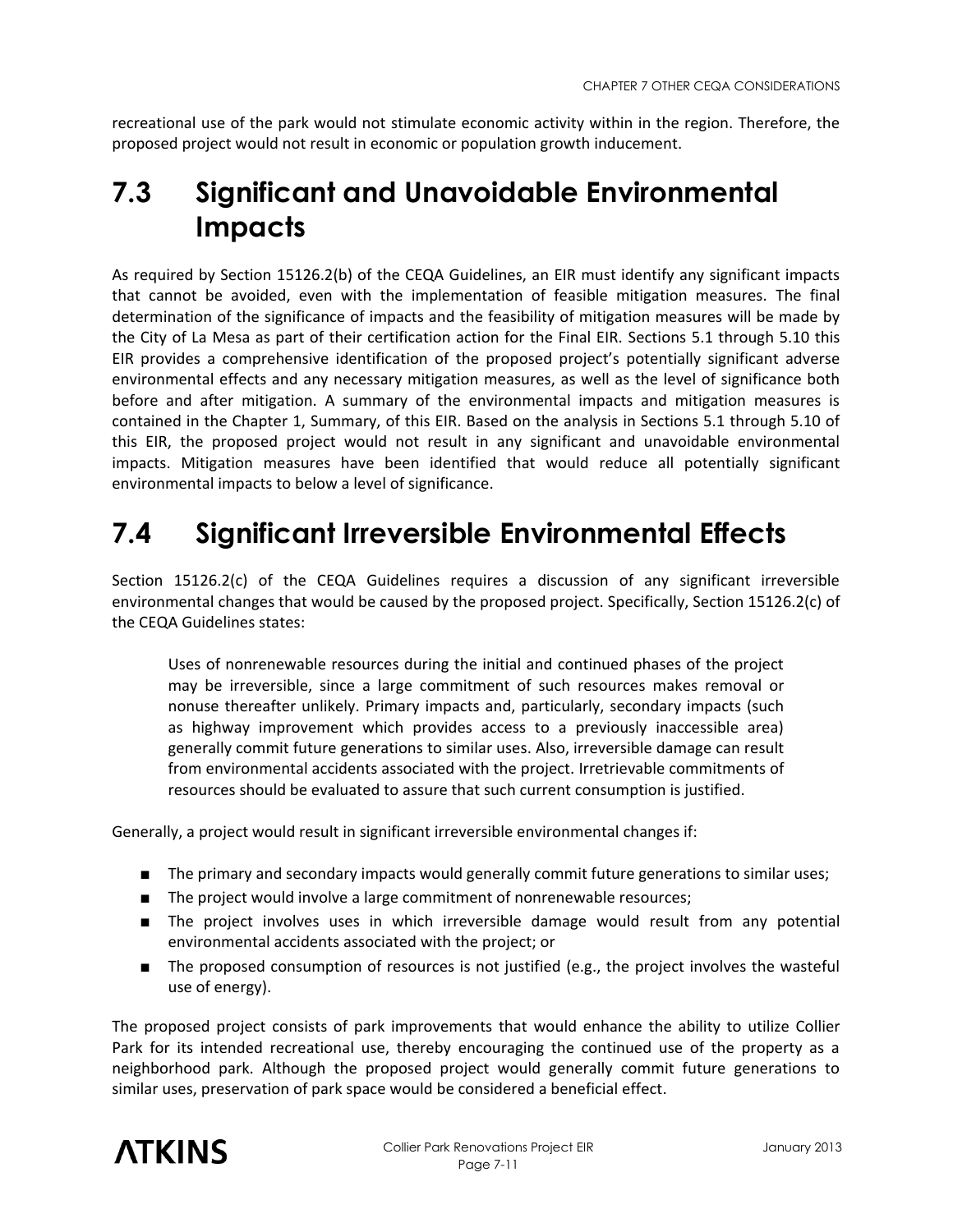recreational use of the park would not stimulate economic activity within in the region. Therefore, the proposed project would not result in economic or population growth inducement.

# **7.3 Significant and Unavoidable Environmental Impacts**

As required by Section 15126.2(b) of the CEQA Guidelines, an EIR must identify any significant impacts that cannot be avoided, even with the implementation of feasible mitigation measures. The final determination of the significance of impacts and the feasibility of mitigation measures will be made by the City of La Mesa as part of their certification action for the Final EIR. Sections 5.1 through 5.10 this EIR provides a comprehensive identification of the proposed project's potentially significant adverse environmental effects and any necessary mitigation measures, as well as the level of significance both before and after mitigation. A summary of the environmental impacts and mitigation measures is contained in the Chapter 1, Summary, of this EIR. Based on the analysis in Sections 5.1 through 5.10 of this EIR, the proposed project would not result in any significant and unavoidable environmental impacts. Mitigation measures have been identified that would reduce all potentially significant environmental impacts to below a level of significance.

# **7.4 Significant Irreversible Environmental Effects**

Section 15126.2(c) of the CEQA Guidelines requires a discussion of any significant irreversible environmental changes that would be caused by the proposed project. Specifically, Section 15126.2(c) of the CEQA Guidelines states:

Uses of nonrenewable resources during the initial and continued phases of the project may be irreversible, since a large commitment of such resources makes removal or nonuse thereafter unlikely. Primary impacts and, particularly, secondary impacts (such as highway improvement which provides access to a previously inaccessible area) generally commit future generations to similar uses. Also, irreversible damage can result from environmental accidents associated with the project. Irretrievable commitments of resources should be evaluated to assure that such current consumption is justified.

Generally, a project would result in significant irreversible environmental changes if:

- The primary and secondary impacts would generally commit future generations to similar uses;
- The project would involve a large commitment of nonrenewable resources;
- The project involves uses in which irreversible damage would result from any potential environmental accidents associated with the project; or
- The proposed consumption of resources is not justified (e.g., the project involves the wasteful use of energy).

The proposed project consists of park improvements that would enhance the ability to utilize Collier Park for its intended recreational use, thereby encouraging the continued use of the property as a neighborhood park. Although the proposed project would generally commit future generations to similar uses, preservation of park space would be considered a beneficial effect.